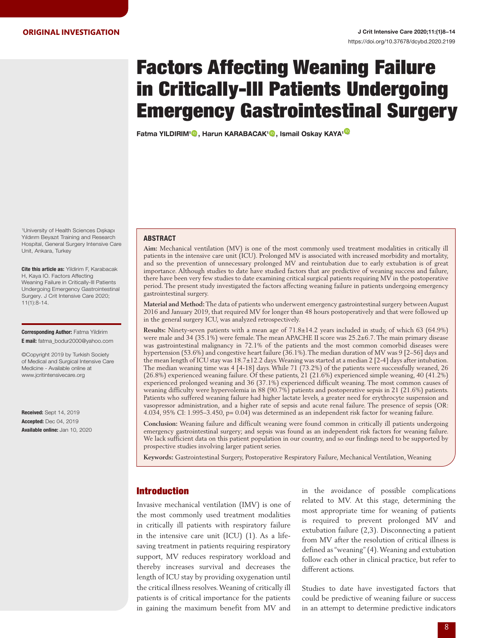# Factors Affecting Weaning Failure in Critically-Ill Patients Undergoing Emergency Gastrointestinal Surgery

Fatma YILDIRIM<sup>1</sup><sup>®</sup>[,](https://orcid.org/0000-0003-3715-3097) Harun KARABACAK<sup>[1](https://orcid.org/0000-0002-1864-896X)</sup><sup>®</sup>, Ismail Oskay KAYA<sup>1<sup>®</sup></sup>

1 University of Health Sciences Dışkapı Yıldırım Beyazıt Training and Research Hospital, General Surgery Intensive Care Unit, Ankara, Turkey

Cite this article as: Yildirim F, Karabacak H, Kaya IO. Factors Affecting Weaning Failure in Critically-Ill Patients Undergoing Emergency Gastrointestinal Surgery. J Crit Intensive Care 2020; 11(1):8-14.

Corresponding Author: Fatma Yildirim E mail: fatma\_bodur2000@yahoo.com

©Copyright 2019 by Turkish Society of Medical and Surgical Intensive Care Medicine - Available online at www.jcritintensivecare.org

Received: Sept 14, 2019 Accepted: Dec 04, 2019 Available online: Jan 10, 2020

#### ABSTRACT

**Aim:** Mechanical ventilation (MV) is one of the most commonly used treatment modalities in critically ill patients in the intensive care unit (ICU). Prolonged MV is associated with increased morbidity and mortality, and so the prevention of unnecessary prolonged MV and reintubation due to early extubation is of great importance. Although studies to date have studied factors that are predictive of weaning success and failure, there have been very few studies to date examining critical surgical patients requiring MV in the postoperative period. The present study investigated the factors affecting weaning failure in patients undergoing emergency gastrointestinal surgery.

**Material and Method:** The data of patients who underwent emergency gastrointestinal surgery between August 2016 and January 2019, that required MV for longer than 48 hours postoperatively and that were followed up in the general surgery ICU, was analyzed retrospectively.

**Results:** Ninety-seven patients with a mean age of 71.8±14.2 years included in study, of which 63 (64.9%) were male and 34 (35.1%) were female. The mean APACHE II score was 25.2±6.7. The main primary disease was gastrointestinal malignancy in 72.1% of the patients and the most common comorbid diseases were hypertension (53.6%) and congestive heart failure (36.1%). The median duration of MV was 9 [2–56] days and the mean length of ICU stay was 18.7±12.2 days. Weaning was started at a median 2 [2-4] days after intubation. The median weaning time was 4 [4-18] days. While 71 (73.2%) of the patients were successfully weaned, 26 (26.8%) experienced weaning failure. Of these patients, 21 (21.6%) experienced simple weaning, 40 (41.2%) experienced prolonged weaning and 36 (37.1%) experienced difficult weaning. The most common causes of weaning difficulty were hypervolemia in 88 (90.7%) patients and postoperative sepsis in 21 (21.6%) patients. Patients who suffered weaning failure had higher lactate levels, a greater need for erythrocyte suspension and vasopressor administration, and a higher rate of sepsis and acute renal failure. The presence of sepsis (OR: 4.034, 95% CI: 1.995–3.450, p= 0.04) was determined as an independent risk factor for weaning failure.

**Conclusion:** Weaning failure and difficult weaning were found common in critically ill patients undergoing emergency gastrointestinal surgery; and sepsis was found as an independent risk factors for weaning failure. We lack sufficient data on this patient population in our country, and so our findings need to be supported by prospective studies involving larger patient series.

**Keywords:** Gastrointestinal Surgery, Postoperative Respiratory Failure, Mechanical Ventilation, Weaning

# Introduction

Invasive mechanical ventilation (IMV) is one of the most commonly used treatment modalities in critically ill patients with respiratory failure in the intensive care unit (ICU) (1). As a lifesaving treatment in patients requiring respiratory support, MV reduces respiratory workload and thereby increases survival and decreases the length of ICU stay by providing oxygenation until the critical illness resolves. Weaning of critically ill patients is of critical importance for the patients in gaining the maximum benefit from MV and

in the avoidance of possible complications related to MV. At this stage, determining the most appropriate time for weaning of patients is required to prevent prolonged MV and extubation failure (2,3). Disconnecting a patient from MV after the resolution of critical illness is defined as "weaning" (4). Weaning and extubation follow each other in clinical practice, but refer to different actions.

Studies to date have investigated factors that could be predictive of weaning failure or success in an attempt to determine predictive indicators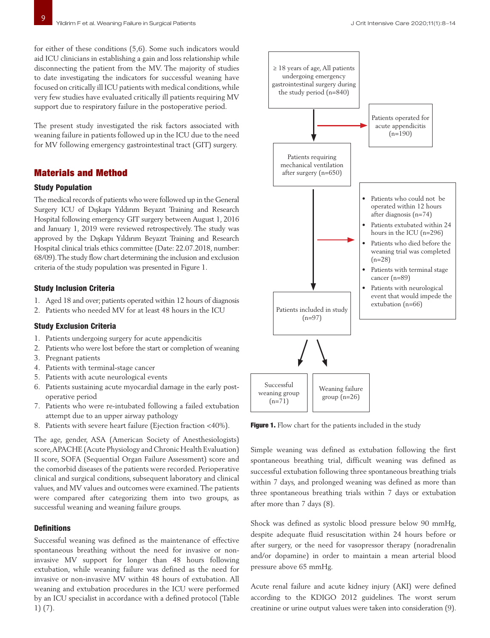for either of these conditions (5,6). Some such indicators would aid ICU clinicians in establishing a gain and loss relationship while disconnecting the patient from the MV. The majority of studies to date investigating the indicators for successful weaning have focused on critically ill ICU patients with medical conditions, while very few studies have evaluated critically ill patients requiring MV support due to respiratory failure in the postoperative period.

The present study investigated the risk factors associated with weaning failure in patients followed up in the ICU due to the need for MV following emergency gastrointestinal tract (GIT) surgery.

# Materials and Method

## Study Population

The medical records of patients who were followed up in the General Surgery ICU of Dışkapı Yıldırım Beyazıt Training and Research Hospital following emergency GIT surgery between August 1, 2016 and January 1, 2019 were reviewed retrospectively. The study was approved by the Dışkapı Yıldırım Beyazıt Training and Research Hospital clinical trials ethics committee (Date: 22.07.2018, number: 68/09). The study flow chart determining the inclusion and exclusion criteria of the study population was presented in Figure 1.

## Study Inclusion Criteria

- 1. Aged 18 and over; patients operated within 12 hours of diagnosis
- 2. Patients who needed MV for at least 48 hours in the ICU

# Study Exclusion Criteria

- 1. Patients undergoing surgery for acute appendicitis
- 2. Patients who were lost before the start or completion of weaning
- 3. Pregnant patients
- 4. Patients with terminal-stage cancer
- 5. Patients with acute neurological events
- 6. Patients sustaining acute myocardial damage in the early postoperative period
- 7. Patients who were re-intubated following a failed extubation attempt due to an upper airway pathology
- 8. Patients with severe heart failure (Ejection fraction <40%).

The age, gender, ASA (American Society of Anesthesiologists) score, APACHE (Acute Physiology and Chronic Health Evaluation) II score, SOFA (Sequential Organ Failure Assessment) score and the comorbid diseases of the patients were recorded. Perioperative clinical and surgical conditions, subsequent laboratory and clinical values, and MV values and outcomes were examined. The patients were compared after categorizing them into two groups, as successful weaning and weaning failure groups.

# **Definitions**

Successful weaning was defined as the maintenance of effective spontaneous breathing without the need for invasive or noninvasive MV support for longer than 48 hours following extubation, while weaning failure was defined as the need for invasive or non-invasive MV within 48 hours of extubation. All weaning and extubation procedures in the ICU were performed by an ICU specialist in accordance with a defined protocol (Table 1) (7).



Figure 1. Flow chart for the patients included in the study

Weaning failure group (n=26)

(n=97)

Successful weaning group (n=71)

Simple weaning was defined as extubation following the first spontaneous breathing trial, difficult weaning was defined as successful extubation following three spontaneous breathing trials within 7 days, and prolonged weaning was defined as more than three spontaneous breathing trials within 7 days or extubation after more than 7 days (8).

Shock was defined as systolic blood pressure below 90 mmHg, despite adequate fluid resuscitation within 24 hours before or after surgery, or the need for vasopressor therapy (noradrenalin and/or dopamine) in order to maintain a mean arterial blood pressure above 65 mmHg.

Acute renal failure and acute kidney injury (AKI) were defined according to the KDIGO 2012 guidelines. The worst serum creatinine or urine output values were taken into consideration (9).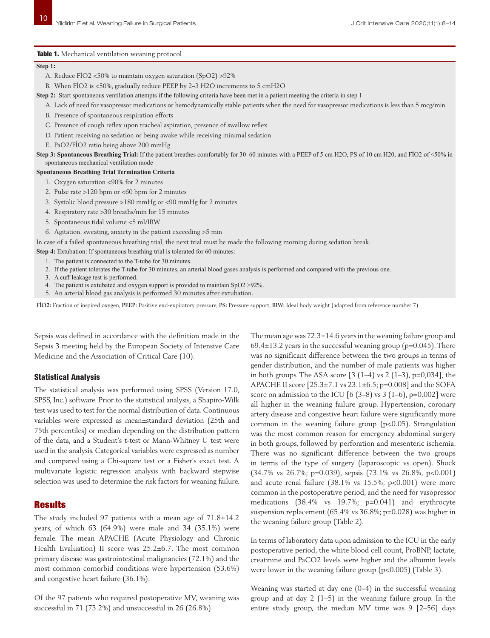Table 1. Mechanical ventilation weaning protocol

#### **Step 1:**

A. Reduce FİO2 <50% to maintain oxygen saturation (SpO2) >92%

B. When FİO2 is <50%, gradually reduce PEEP by 2–3 H2O increments to 5 cmH2O

**Step 2:** Start spontaneous ventilation attempts if the following criteria have been met in a patient meeting the criteria in step 1

- A. Lack of need for vasopressor medications or hemodynamically stable patients when the need for vasopressor medications is less than 5 mcg/min
- B. Presence of spontaneous respiration efforts
- C. Presence of cough reflex upon tracheal aspiration, presence of swallow reflex
- D. Patient receiving no sedation or being awake while receiving minimal sedation
- E. PaO2/FİO2 ratio being above 200 mmHg

**Step 3: Spontaneous Breathing Trial:** If the patient breathes comfortably for 30–60 minutes with a PEEP of 5 cm H2O, PS of 10 cm H20, and FİO2 of <50% in spontaneous mechanical ventilation mode

### **Spontaneous Breathing Trial Termination Criteria**

- 1. Oxygen saturation <90% for 2 minutes
- 2. Pulse rate >120 bpm or <60 bpm for 2 minutes
- 3. Systolic blood pressure >180 mmHg or <90 mmHg for 2 minutes
- 4. Respiratory rate >30 breaths/min for 15 minutes
- 5. Spontaneous tidal volume <5 ml/IBW
- 6. Agitation, sweating, anxiety in the patient exceeding >5 min

In case of a failed spontaneous breathing trial, the next trial must be made the following morning during sedation break.

- **Step 4:** Extubation: If spontaneous breathing trial is tolerated for 60 minutes:
	- 1. The patient is connected to the T-tube for 30 minutes.
	- 2. If the patient tolerates the T-tube for 30 minutes, an arterial blood gases analysis is performed and compared with the previous one.
	- 3. A cuff leakage test is performed.
	- 4. The patient is extubated and oxygen support is provided to maintain SpO2 >92%.
	- 5. An arterial blood gas analysis is performed 30 minutes after extubation.

**FİO2:** Fraction of inspired oxygen, **PEEP:** Positive end-expiratory pressure, **PS:** Pressure support, **IBW:** Ideal body weight (adapted from reference number 7)

Sepsis was defined in accordance with the definition made in the Sepsis 3 meeting held by the European Society of Intensive Care Medicine and the Association of Critical Care (10).

#### Statistical Analysis

The statistical analysis was performed using SPSS (Version 17.0, SPSS, Inc.) software. Prior to the statistical analysis, a Shapiro-Wilk test was used to test for the normal distribution of data. Continuous variables were expressed as mean±standard deviation (25th and 75th percentiles) or median depending on the distribution pattern of the data, and a Student's t-test or Mann-Whitney U test were used in the analysis. Categorical variables were expressed as number and compared using a Chi-square test or a Fisher's exact test. A multivariate logistic regression analysis with backward stepwise selection was used to determine the risk factors for weaning failure.

## Results

The study included 97 patients with a mean age of 71.8±14.2 years, of which 63 (64.9%) were male and 34 (35.1%) were female. The mean APACHE (Acute Physiology and Chronic Health Evaluation) II score was 25.2±6.7. The most common primary disease was gastrointestinal malignancies (72.1%) and the most common comorbid conditions were hypertension (53.6%) and congestive heart failure (36.1%).

Of the 97 patients who required postoperative MV, weaning was successful in 71 (73.2%) and unsuccessful in 26 (26.8%).

The mean age was  $72.3\pm14.6$  years in the weaning failure group and  $69.4\pm13.2$  years in the successful weaning group (p=0.045). There was no significant difference between the two groups in terms of gender distribution, and the number of male patients was higher in both groups. The ASA score [3 (1–4) vs 2 (1–3), p=0,034], the APACHE II score [25.3±7.1 vs 23.1±6.5; p=0.008] and the SOFA score on admission to the ICU  $[6 (3-8)$  vs 3  $(1-6)$ , p=0.002] were all higher in the weaning failure group. Hypertension, coronary artery disease and congestive heart failure were significantly more common in the weaning failure group (p<0.05). Strangulation was the most common reason for emergency abdominal surgery in both groups, followed by perforation and mesenteric ischemia. There was no significant difference between the two groups in terms of the type of surgery (laparoscopic vs open). Shock (34.7% vs 26.7%; p=0.039), sepsis (73.1% vs 26.8%, p<0.001) and acute renal failure (38.1% vs 15.5%; p<0.001) were more common in the postoperative period, and the need for vasopressor medications (38.4% vs 19.7%; p=0.041) and erythrocyte suspension replacement (65.4% vs 36.8%; p=0.028) was higher in the weaning failure group (Table 2).

In terms of laboratory data upon admission to the ICU in the early postoperative period, the white blood cell count, ProBNP, lactate, creatinine and PaCO2 levels were higher and the albumin levels were lower in the weaning failure group (p<0.005) (Table 3).

Weaning was started at day one (0–4) in the successful weaning group and at day 2 (1–5) in the weaning failure group. In the entire study group, the median MV time was 9 [2–56] days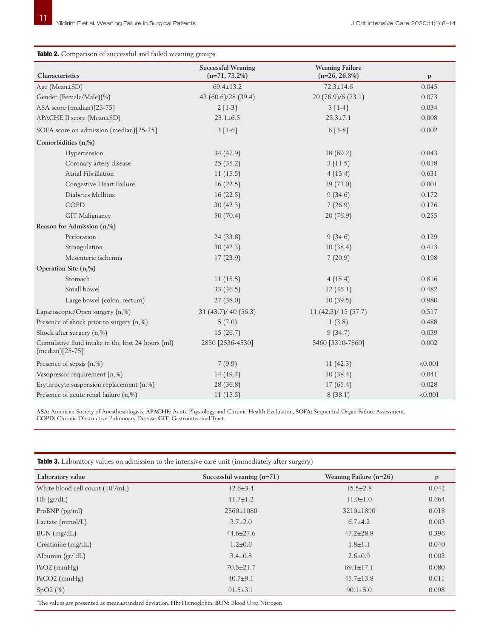## Table 2. Comparison of successful and failed weaning groups

|                                                                         | <b>Successful Weaning</b> | <b>Weaning Failure</b> |              |
|-------------------------------------------------------------------------|---------------------------|------------------------|--------------|
| Characteristics                                                         | $(n=71, 73.2\%)$          | $(n=26, 26.8\%)$       | $\mathbf{p}$ |
| Age (Mean±SD)                                                           | $69.4 \pm 13.2$           | $72.3 \pm 14.6$        | 0.045        |
| Gender (Female/Male)(%)                                                 | 43 (60.6)/28 (39.4)       | 20 (76.9)/6 (23.1)     | 0.073        |
| ASA score (median)[25-75]                                               | $2[1-3]$                  | $3[1-4]$               | 0.034        |
| APACHE II score (Mean±SD)                                               | $23.1 \pm 6.5$            | $25.3 \pm 7.1$         | 0.008        |
| SOFA score on admission (median)[25-75]                                 | $3 [1-6]$                 | $6[3-8]$               | 0.002        |
| Comorbidities (n,%)                                                     |                           |                        |              |
| Hypertension                                                            | 34 (47.9)                 | 18 (69.2)              | 0.043        |
| Coronary artery disease                                                 | 25(35.2)                  | 3(11.5)                | 0.018        |
| Atrial Fibrillation                                                     | 11(15.5)                  | 4(15.4)                | 0.631        |
| Congestive Heart Failure                                                | 16(22.5)                  | 19(73.0)               | 0.001        |
| Diabetes Mellitus                                                       | 16(22.5)                  | 9(34.6)                | 0.172        |
| COPD                                                                    | 30(42.3)                  | 7(26.9)                | 0.126        |
| GIT Malignancy                                                          | 50(70.4)                  | 20 (76.9)              | 0.255        |
| Reason for Admission (n,%)                                              |                           |                        |              |
| Perforation                                                             | 24 (33.8)                 | 9(34.6)                | 0.129        |
| Strangulation                                                           | 30(42.3)                  | 10(38.4)               | 0.413        |
| Mesenteric ischemia                                                     | 17(23.9)                  | 7(20.9)                | 0.198        |
| Operation Site (n,%)                                                    |                           |                        |              |
| Stomach                                                                 | 11(15.5)                  | 4(15.4)                | 0.816        |
| Small bowel                                                             | 33 $(46.5)$               | 12(46.1)               | 0.482        |
| Large bowel (colon, rectum)                                             | 27(38.0)                  | 10(39.5)               | 0.980        |
| Laparoscopic/Open surgery (n,%)                                         | 31 (43.7)/ 40 (56.3)      | 11(42.3)/15(57.7)      | 0.517        |
| Presence of shock prior to surgery (n,%)                                | 5(7.0)                    | 1(3.8)                 | 0.488        |
| Shock after surgery (n,%)                                               | 15(26.7)                  | 9(34.7)                | 0.039        |
| Cumulative fluid intake in the first 24 hours (ml)<br>$(median)[25-75]$ | 2850 [2536-4530]          | 5460 [3310-7860]       | 0.002        |
| Presence of sepsis $(n, \%)$                                            | 7(9.9)                    | 11(42.3)               | < 0.001      |
| Vasopressor requirement (n,%)                                           | 14(19.7)                  | 10(38.4)               | 0.041        |
| Erythrocyte suspension replacement (n,%)                                | 28 (36.8)                 | 17(65.4)               | 0.028        |
| Presence of acute renal failure (n,%)                                   | 11(15.5)                  | 8(38.1)                | < 0.001      |

**ASA:** American Society of Anesthesiologists, **APACHE:** Acute Physiology and Chronic Health Evaluation, **SOFA:** Sequential Organ Failure Assessment, **COPD:** Chronic Obstructive Pulmonary Disease, **GIT:** Gastrointestinal Tract

| Laboratory value                             | Successful weaning $(n=71)$ | Weaning Failure $(n=26)$ | $\mathbf{p}$ |
|----------------------------------------------|-----------------------------|--------------------------|--------------|
| White blood cell count (10 <sup>3</sup> /mL) | $12.6 \pm 3.4$              | $15.5 \pm 2.8$           | 0.042        |
| $Hb$ (gr/dL)                                 | $11.7 \pm 1.2$              | $11.0 \pm 1.0$           | 0.664        |
| ProBNP $(pg/ml)$                             | $2560 \pm 1080$             | 3210±1890                | 0.018        |
| Lactate $(mmol/L)$                           | $3.7 \pm 2.0$               | $6.7 + 4.2$              | 0.003        |
| BUN (mg/dL)                                  | $44.6 \pm 27.6$             | $47.2 \pm 28.8$          | 0.396        |
| Creatinine (mg/dL)                           | $1.2 \pm 0.6$               | $1.8 \pm 1.1$            | 0.040        |
| Albumin $\left(\frac{gr}{dL}\right)$         | $3.4 \pm 0.8$               | $2.6 \pm 0.9$            | 0.002        |
| $PaO2$ (mmHg)                                | $70.5 \pm 21.7$             | $69.1 \pm 17.1$          | 0.080        |
| $PaCO2$ (mmHg)                               | $40.7+9.1$                  | $45.7 \pm 13.8$          | 0.011        |
| SpO2(%)                                      | $91.5 \pm 3.1$              | $90.1 \pm 5.0$           | 0.098        |

Table 3. Laboratory values on admission to the intensive care unit (immediately after surgery)

'The values are presented as mean±standard deviation. **Hb:** Hemoglobin, **BUN:** Blood Urea Nitrogen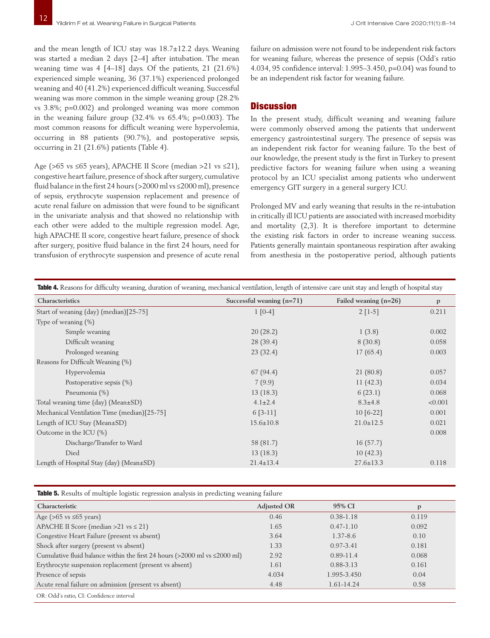and the mean length of ICU stay was 18.7±12.2 days. Weaning was started a median 2 days [2–4] after intubation. The mean weaning time was 4 [4–18] days. Of the patients, 21 (21.6%) experienced simple weaning, 36 (37.1%) experienced prolonged weaning and 40 (41.2%) experienced difficult weaning. Successful weaning was more common in the simple weaning group (28.2% vs 3.8%; p=0.002) and prolonged weaning was more common in the weaning failure group (32.4% vs 65.4%; p=0.003). The most common reasons for difficult weaning were hypervolemia, occurring in 88 patients (90.7%), and postoperative sepsis, occurring in 21 (21.6%) patients (Table 4).

Age (>65 vs ≤65 years), APACHE II Score (median >21 vs ≤21), congestive heart failure, presence of shock after surgery, cumulative fluid balance in the first 24 hours (>2000 ml vs ≤2000 ml), presence of sepsis, erythrocyte suspension replacement and presence of acute renal failure on admission that were found to be significant in the univariate analysis and that showed no relationship with each other were added to the multiple regression model. Age, high APACHE II score, congestive heart failure, presence of shock after surgery, positive fluid balance in the first 24 hours, need for transfusion of erythrocyte suspension and presence of acute renal

failure on admission were not found to be independent risk factors for weaning failure, whereas the presence of sepsis (Odd's ratio 4.034, 95 confidence interval: 1.995–3.450, p=0.04) was found to be an independent risk factor for weaning failure.

# **Discussion**

In the present study, difficult weaning and weaning failure were commonly observed among the patients that underwent emergency gastrointestinal surgery. The presence of sepsis was an independent risk factor for weaning failure. To the best of our knowledge, the present study is the first in Turkey to present predictive factors for weaning failure when using a weaning protocol by an ICU specialist among patients who underwent emergency GIT surgery in a general surgery ICU.

Prolonged MV and early weaning that results in the re-intubation in critically ill ICU patients are associated with increased morbidity and mortality (2,3). It is therefore important to determine the existing risk factors in order to increase weaning success. Patients generally maintain spontaneous respiration after awaking from anesthesia in the postoperative period, although patients

| Table 4. Reasons for difficulty weaning, duration of weaning, mechanical ventilation, length of intensive care unit stay and length of hospital stay |                             |                         |              |  |  |
|------------------------------------------------------------------------------------------------------------------------------------------------------|-----------------------------|-------------------------|--------------|--|--|
| Characteristics                                                                                                                                      | Successful weaning $(n=71)$ | Failed weaning $(n=26)$ | $\mathbf{p}$ |  |  |
| Start of weaning (day) (median)[25-75]                                                                                                               | $1 [0-4]$                   | $2$ [1-5]               | 0.211        |  |  |
| Type of weaning $(\%)$                                                                                                                               |                             |                         |              |  |  |
| Simple weaning                                                                                                                                       | 20(28.2)                    | 1(3.8)                  | 0.002        |  |  |
| Difficult weaning                                                                                                                                    | 28 (39.4)                   | 8(30.8)                 | 0.058        |  |  |
| Prolonged weaning                                                                                                                                    | 23(32.4)                    | 17(65.4)                | 0.003        |  |  |
| Reasons for Difficult Weaning (%)                                                                                                                    |                             |                         |              |  |  |
| Hypervolemia                                                                                                                                         | 67(94.4)                    | 21(80.8)                | 0.057        |  |  |
| Postoperative sepsis $(\%)$                                                                                                                          | 7(9.9)                      | 11(42.3)                | 0.034        |  |  |
| Pneumonia (%)                                                                                                                                        | 13(18.3)                    | 6(23.1)                 | 0.068        |  |  |
| Total weaning time (day) (Mean±SD)                                                                                                                   | $4.1 \pm 2.4$               | $8.3 \pm 4.8$           | < 0.001      |  |  |
| Mechanical Ventilation Time (median)[25-75]                                                                                                          | $6[3-11]$                   | $10[6-22]$              | 0.001        |  |  |
| Length of ICU Stay (Mean $\pm$ SD)                                                                                                                   | $15.6 \pm 10.8$             | $21.0 \pm 12.5$         | 0.021        |  |  |
| Outcome in the ICU $(\%)$                                                                                                                            |                             |                         | 0.008        |  |  |
| Discharge/Transfer to Ward                                                                                                                           | 58 (81.7)                   | 16(57.7)                |              |  |  |
| Died                                                                                                                                                 | 13(18.3)                    | 10(42.3)                |              |  |  |
| Length of Hospital Stay (day) (Mean±SD)                                                                                                              | $21.4 \pm 13.4$             | $27.6 \pm 13.3$         | 0.118        |  |  |

Table 5. Results of multiple logistic regression analysis in predicting weaning failure

| Characteristic                                                                     | <b>Adjusted OR</b> | 95% CI        | $\mathbf{p}$ |
|------------------------------------------------------------------------------------|--------------------|---------------|--------------|
| Age ( $>65$ vs $\leq 65$ years)                                                    | 0.46               | $0.38 - 1.18$ | 0.119        |
| APACHE II Score (median $>21$ vs $\leq 21$ )                                       | 1.65               | $0.47 - 1.10$ | 0.092        |
| Congestive Heart Failure (present vs absent)                                       | 3.64               | $1.37 - 8.6$  | 0.10         |
| Shock after surgery (present vs absent)                                            | 1.33               | $0.97 - 3.41$ | 0.181        |
| Cumulative fluid balance within the first 24 hours ( $>2000$ ml vs $\leq 2000$ ml) | 2.92               | $0.89 - 11.4$ | 0.068        |
| Erythrocyte suspension replacement (present vs absent)                             | 1.61               | $0.88 - 3.13$ | 0.161        |
| Presence of sepsis                                                                 | 4.034              | 1.995-3.450   | 0.04         |
| Acute renal failure on admission (present vs absent)                               | 4.48               | 1.61-14.24    | 0.58         |
| OR: Odd's ratio, CI: Confidence interval                                           |                    |               |              |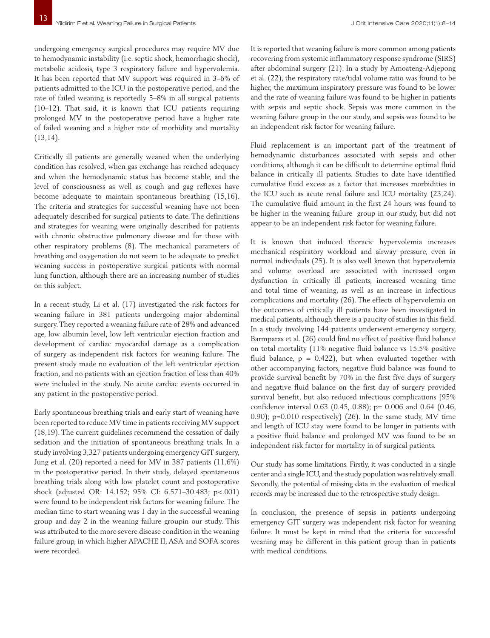undergoing emergency surgical procedures may require MV due to hemodynamic instability (i.e. septic shock, hemorrhagic shock), metabolic acidosis, type 3 respiratory failure and hypervolemia. It has been reported that MV support was required in 3–6% of patients admitted to the ICU in the postoperative period, and the rate of failed weaning is reportedly 5–8% in all surgical patients (10–12). That said, it is known that ICU patients requiring prolonged MV in the postoperative period have a higher rate of failed weaning and a higher rate of morbidity and mortality (13,14).

Critically ill patients are generally weaned when the underlying condition has resolved, when gas exchange has reached adequacy and when the hemodynamic status has become stable, and the level of consciousness as well as cough and gag reflexes have become adequate to maintain spontaneous breathing (15,16). The criteria and strategies for successful weaning have not been adequately described for surgical patients to date. The definitions and strategies for weaning were originally described for patients with chronic obstructive pulmonary disease and for those with other respiratory problems (8). The mechanical parameters of breathing and oxygenation do not seem to be adequate to predict weaning success in postoperative surgical patients with normal lung function, although there are an increasing number of studies on this subject.

In a recent study, Li et al. (17) investigated the risk factors for weaning failure in 381 patients undergoing major abdominal surgery. They reported a weaning failure rate of 28% and advanced age, low albumin level, low left ventricular ejection fraction and development of cardiac myocardial damage as a complication of surgery as independent risk factors for weaning failure. The present study made no evaluation of the left ventricular ejection fraction, and no patients with an ejection fraction of less than 40% were included in the study. No acute cardiac events occurred in any patient in the postoperative period.

Early spontaneous breathing trials and early start of weaning have been reported to reduce MV time in patients receiving MV support (18,19). The current guidelines recommend the cessation of daily sedation and the initiation of spontaneous breathing trials. In a study involving 3,327 patients undergoing emergency GIT surgery, Jung et al. (20) reported a need for MV in 387 patients (11.6%) in the postoperative period. In their study, delayed spontaneous breathing trials along with low platelet count and postoperative shock (adjusted OR: 14.152; 95% CI: 6.571–30.483; p<.001) were found to be independent risk factors for weaning failure. The median time to start weaning was 1 day in the successful weaning group and day 2 in the weaning failure groupin our study. This was attributed to the more severe disease condition in the weaning failure group, in which higher APACHE II, ASA and SOFA scores were recorded.

It is reported that weaning failure is more common among patients recovering from systemic inflammatory response syndrome (SIRS) after abdominal surgery (21). In a study by Amoateng-Adjepong et al. (22), the respiratory rate/tidal volume ratio was found to be higher, the maximum inspiratory pressure was found to be lower and the rate of weaning failure was found to be higher in patients with sepsis and septic shock. Sepsis was more common in the weaning failure group in the our study, and sepsis was found to be an independent risk factor for weaning failure.

Fluid replacement is an important part of the treatment of hemodynamic disturbances associated with sepsis and other conditions, although it can be difficult to determine optimal fluid balance in critically ill patients. Studies to date have identified cumulative fluid excess as a factor that increases morbidities in the ICU such as acute renal failure and ICU mortality (23,24). The cumulative fluid amount in the first 24 hours was found to be higher in the weaning failure group in our study, but did not appear to be an independent risk factor for weaning failure.

It is known that induced thoracic hypervolemia increases mechanical respiratory workload and airway pressure, even in normal individuals (25). It is also well known that hypervolemia and volume overload are associated with increased organ dysfunction in critically ill patients, increased weaning time and total time of weaning, as well as an increase in infectious complications and mortality (26). The effects of hypervolemia on the outcomes of critically ill patients have been investigated in medical patients, although there is a paucity of studies in this field. In a study involving 144 patients underwent emergency surgery, Barmparas et al. (26) could find no effect of positive fluid balance on total mortality (11% negative fluid balance vs 15.5% positive fluid balance,  $p = 0.422$ ), but when evaluated together with other accompanying factors, negative fluid balance was found to provide survival benefit by 70% in the first five days of surgery and negative fluid balance on the first day of surgery provided survival benefit, but also reduced infectious complications [95% confidence interval 0.63 (0.45, 0.88); p= 0.006 and 0.64 (0.46, 0.90); p=0.010 respectively) (26). In the same study, MV time and length of ICU stay were found to be longer in patients with a positive fluid balance and prolonged MV was found to be an independent risk factor for mortality in of surgical patients.

Our study has some limitations. Firstly, it was conducted in a single center and a single ICU, and the study population was relatively small. Secondly, the potential of missing data in the evaluation of medical records may be increased due to the retrospective study design.

In conclusion, the presence of sepsis in patients undergoing emergency GIT surgery was independent risk factor for weaning failure. It must be kept in mind that the criteria for successful weaning may be different in this patient group than in patients with medical conditions.